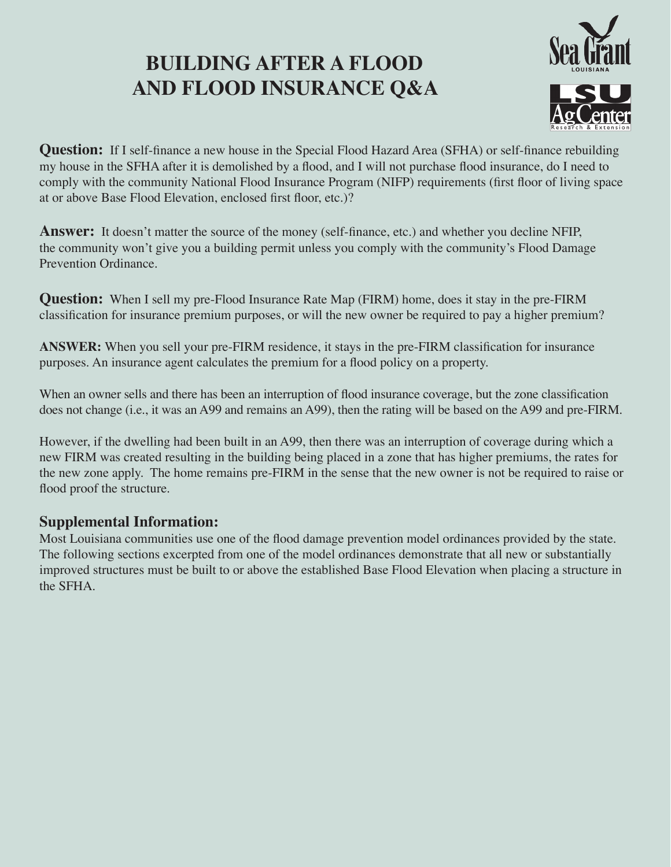# **BUILDING AFTER A FLOOD AND FLOOD INSURANCE Q&A**



**Question:** If I self-finance a new house in the Special Flood Hazard Area (SFHA) or self-finance rebuilding my house in the SFHA after it is demolished by a flood, and I will not purchase flood insurance, do I need to comply with the community National Flood Insurance Program (NIFP) requirements (first floor of living space at or above Base Flood Elevation, enclosed first floor, etc.)?

**Answer:** It doesn't matter the source of the money (self-finance, etc.) and whether you decline NFIP, the community won't give you a building permit unless you comply with the community's Flood Damage Prevention Ordinance.

**Question:** When I sell my pre-Flood Insurance Rate Map (FIRM) home, does it stay in the pre-FIRM classification for insurance premium purposes, or will the new owner be required to pay a higher premium?

**ANSWER:** When you sell your pre-FIRM residence, it stays in the pre-FIRM classification for insurance purposes. An insurance agent calculates the premium for a flood policy on a property.

When an owner sells and there has been an interruption of flood insurance coverage, but the zone classification does not change (i.e., it was an A99 and remains an A99), then the rating will be based on the A99 and pre-FIRM.

However, if the dwelling had been built in an A99, then there was an interruption of coverage during which a new FIRM was created resulting in the building being placed in a zone that has higher premiums, the rates for the new zone apply. The home remains pre-FIRM in the sense that the new owner is not be required to raise or flood proof the structure.

## **Supplemental Information:**

Most Louisiana communities use one of the flood damage prevention model ordinances provided by the state. The following sections excerpted from one of the model ordinances demonstrate that all new or substantially improved structures must be built to or above the established Base Flood Elevation when placing a structure in the SFHA.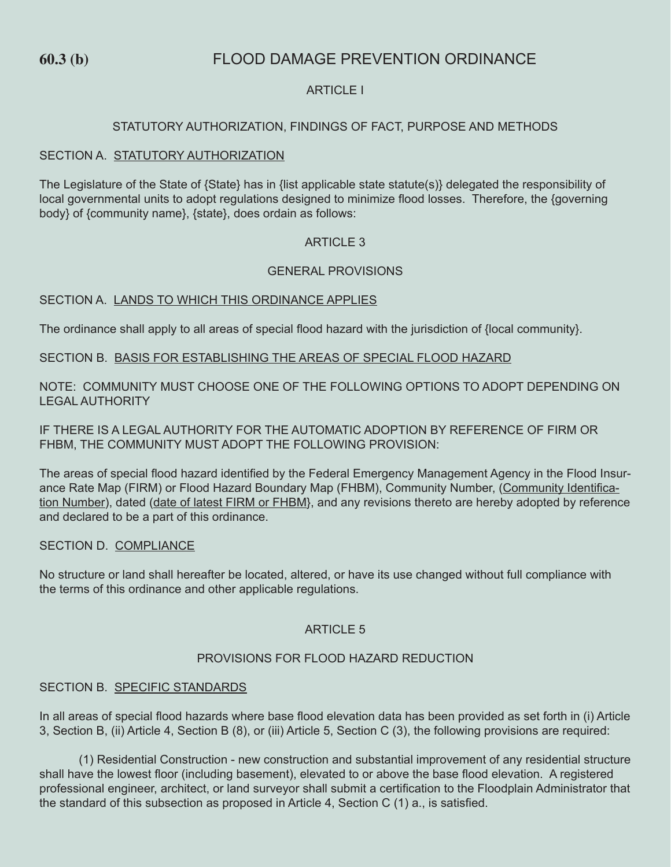## **60.3 (b)** FLOOD DAMAGE PREVENTION ORDINANCE

### ARTICLE I

#### STATUTORY AUTHORIZATION, FINDINGS OF FACT, PURPOSE AND METHODS

#### SECTION A. STATUTORY AUTHORIZATION

The Legislature of the State of {State} has in {list applicable state statute(s)} delegated the responsibility of local governmental units to adopt regulations designed to minimize flood losses. Therefore, the {governing body} of {community name}, {state}, does ordain as follows:

#### **ARTICLE 3**

#### GENERAL PROVISIONS

#### SECTION A. LANDS TO WHICH THIS ORDINANCE APPLIES

The ordinance shall apply to all areas of special flood hazard with the jurisdiction of {local community}.

#### SECTION B. BASIS FOR ESTABLISHING THE AREAS OF SPECIAL FLOOD HAZARD

NOTE: COMMUNITY MUST CHOOSE ONE OF THE FOLLOWING OPTIONS TO ADOPT DEPENDING ON LEGAL AUTHORITY

IF THERE IS A LEGAL AUTHORITY FOR THE AUTOMATIC ADOPTION BY REFERENCE OF FIRM OR FHBM, THE COMMUNITY MUST ADOPT THE FOLLOWING PROVISION:

The areas of special flood hazard identified by the Federal Emergency Management Agency in the Flood Insurance Rate Map (FIRM) or Flood Hazard Boundary Map (FHBM), Community Number, (Community Identification Number), dated (date of latest FIRM or FHBM}, and any revisions thereto are hereby adopted by reference and declared to be a part of this ordinance.

#### SECTION D. COMPLIANCE

No structure or land shall hereafter be located, altered, or have its use changed without full compliance with the terms of this ordinance and other applicable regulations.

#### **ARTICLE 5**

#### PROVISIONS FOR FLOOD HAZARD REDUCTION

#### SECTION B. SPECIFIC STANDARDS

In all areas of special flood hazards where base flood elevation data has been provided as set forth in (i) Article 3, Section B, (ii) Article 4, Section B (8), or (iii) Article 5, Section C (3), the following provisions are required:

(1) Residential Construction - new construction and substantial improvement of any residential structure shall have the lowest floor (including basement), elevated to or above the base flood elevation. A registered professional engineer, architect, or land surveyor shall submit a certification to the Floodplain Administrator that the standard of this subsection as proposed in Article 4, Section C (1) a., is satisfied.